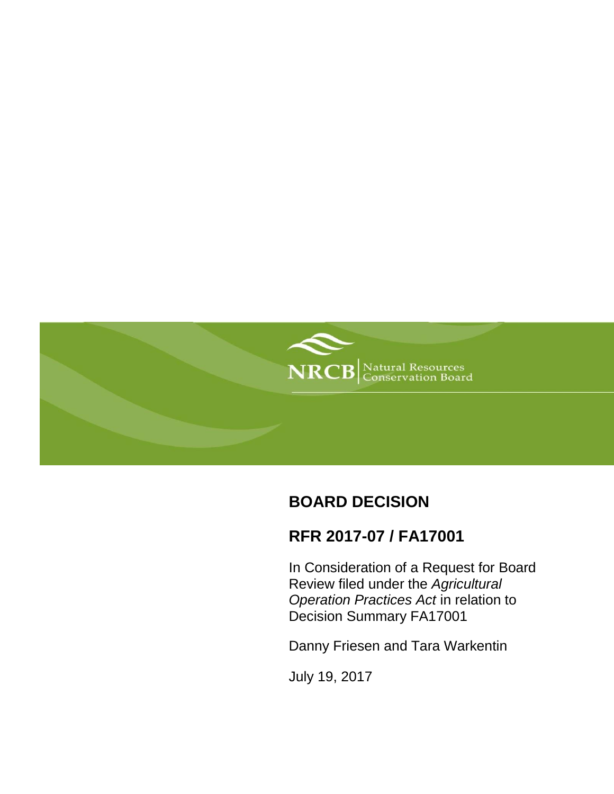

# **BOARD DECISION**

## **RFR 2017-07 / FA17001**

In Consideration of a Request for Board Review filed under the *Agricultural Operation Practices Act* in relation to Decision Summary FA17001

Danny Friesen and Tara Warkentin

July 19, 2017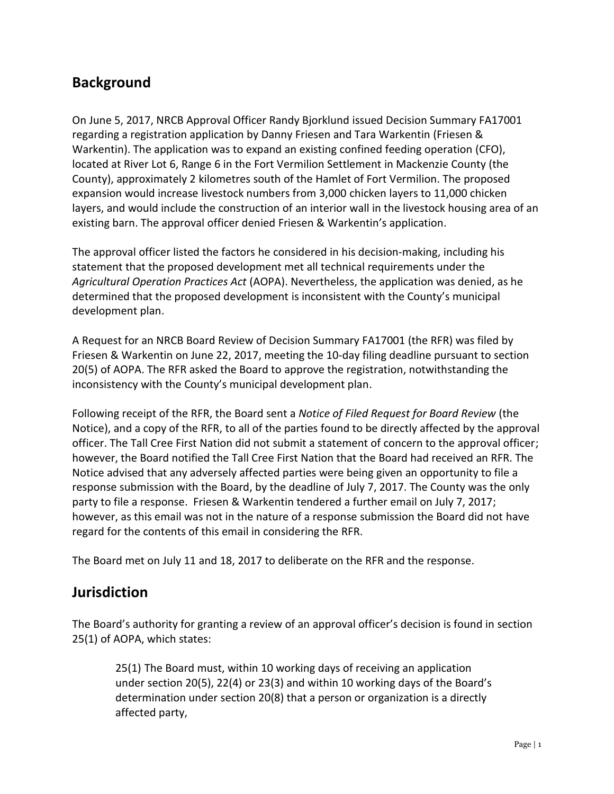## **Background**

On June 5, 2017, NRCB Approval Officer Randy Bjorklund issued Decision Summary FA17001 regarding a registration application by Danny Friesen and Tara Warkentin (Friesen & Warkentin). The application was to expand an existing confined feeding operation (CFO), located at River Lot 6, Range 6 in the Fort Vermilion Settlement in Mackenzie County (the County), approximately 2 kilometres south of the Hamlet of Fort Vermilion. The proposed expansion would increase livestock numbers from 3,000 chicken layers to 11,000 chicken layers, and would include the construction of an interior wall in the livestock housing area of an existing barn. The approval officer denied Friesen & Warkentin's application.

The approval officer listed the factors he considered in his decision-making, including his statement that the proposed development met all technical requirements under the *Agricultural Operation Practices Act* (AOPA). Nevertheless, the application was denied, as he determined that the proposed development is inconsistent with the County's municipal development plan.

A Request for an NRCB Board Review of Decision Summary FA17001 (the RFR) was filed by Friesen & Warkentin on June 22, 2017, meeting the 10-day filing deadline pursuant to section 20(5) of AOPA. The RFR asked the Board to approve the registration, notwithstanding the inconsistency with the County's municipal development plan.

Following receipt of the RFR, the Board sent a *Notice of Filed Request for Board Review* (the Notice), and a copy of the RFR, to all of the parties found to be directly affected by the approval officer. The Tall Cree First Nation did not submit a statement of concern to the approval officer; however, the Board notified the Tall Cree First Nation that the Board had received an RFR. The Notice advised that any adversely affected parties were being given an opportunity to file a response submission with the Board, by the deadline of July 7, 2017. The County was the only party to file a response. Friesen & Warkentin tendered a further email on July 7, 2017; however, as this email was not in the nature of a response submission the Board did not have regard for the contents of this email in considering the RFR.

The Board met on July 11 and 18, 2017 to deliberate on the RFR and the response.

#### **Jurisdiction**

The Board's authority for granting a review of an approval officer's decision is found in section 25(1) of AOPA, which states:

25(1) The Board must, within 10 working days of receiving an application under section 20(5), 22(4) or 23(3) and within 10 working days of the Board's determination under section 20(8) that a person or organization is a directly affected party,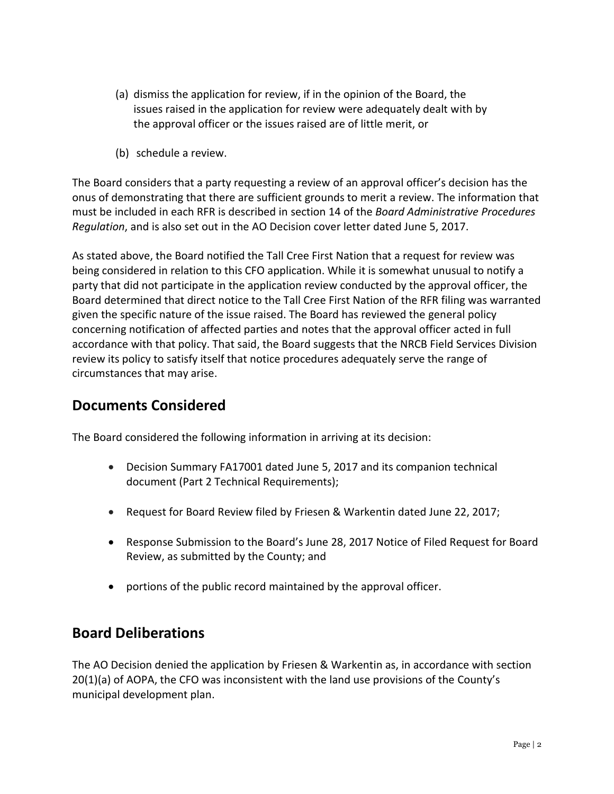- (a) dismiss the application for review, if in the opinion of the Board, the issues raised in the application for review were adequately dealt with by the approval officer or the issues raised are of little merit, or
- (b) schedule a review.

The Board considers that a party requesting a review of an approval officer's decision has the onus of demonstrating that there are sufficient grounds to merit a review. The information that must be included in each RFR is described in section 14 of the *Board Administrative Procedures Regulation*, and is also set out in the AO Decision cover letter dated June 5, 2017.

As stated above, the Board notified the Tall Cree First Nation that a request for review was being considered in relation to this CFO application. While it is somewhat unusual to notify a party that did not participate in the application review conducted by the approval officer, the Board determined that direct notice to the Tall Cree First Nation of the RFR filing was warranted given the specific nature of the issue raised. The Board has reviewed the general policy concerning notification of affected parties and notes that the approval officer acted in full accordance with that policy. That said, the Board suggests that the NRCB Field Services Division review its policy to satisfy itself that notice procedures adequately serve the range of circumstances that may arise.

#### **Documents Considered**

The Board considered the following information in arriving at its decision:

- Decision Summary FA17001 dated June 5, 2017 and its companion technical document (Part 2 Technical Requirements);
- Request for Board Review filed by Friesen & Warkentin dated June 22, 2017;
- Response Submission to the Board's June 28, 2017 Notice of Filed Request for Board Review, as submitted by the County; and
- portions of the public record maintained by the approval officer.

### **Board Deliberations**

The AO Decision denied the application by Friesen & Warkentin as, in accordance with section 20(1)(a) of AOPA, the CFO was inconsistent with the land use provisions of the County's municipal development plan.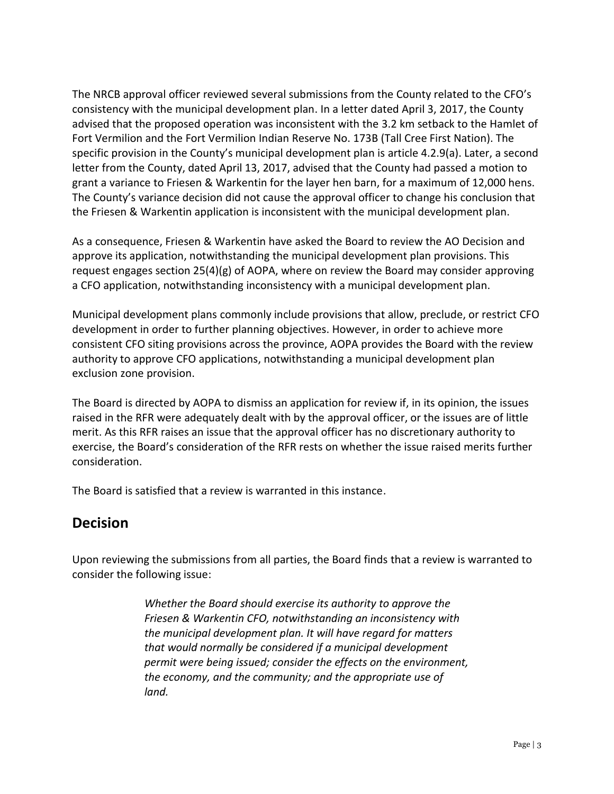The NRCB approval officer reviewed several submissions from the County related to the CFO's consistency with the municipal development plan. In a letter dated April 3, 2017, the County advised that the proposed operation was inconsistent with the 3.2 km setback to the Hamlet of Fort Vermilion and the Fort Vermilion Indian Reserve No. 173B (Tall Cree First Nation). The specific provision in the County's municipal development plan is article 4.2.9(a). Later, a second letter from the County, dated April 13, 2017, advised that the County had passed a motion to grant a variance to Friesen & Warkentin for the layer hen barn, for a maximum of 12,000 hens. The County's variance decision did not cause the approval officer to change his conclusion that the Friesen & Warkentin application is inconsistent with the municipal development plan.

As a consequence, Friesen & Warkentin have asked the Board to review the AO Decision and approve its application, notwithstanding the municipal development plan provisions. This request engages section 25(4)(g) of AOPA, where on review the Board may consider approving a CFO application, notwithstanding inconsistency with a municipal development plan.

Municipal development plans commonly include provisions that allow, preclude, or restrict CFO development in order to further planning objectives. However, in order to achieve more consistent CFO siting provisions across the province, AOPA provides the Board with the review authority to approve CFO applications, notwithstanding a municipal development plan exclusion zone provision.

The Board is directed by AOPA to dismiss an application for review if, in its opinion, the issues raised in the RFR were adequately dealt with by the approval officer, or the issues are of little merit. As this RFR raises an issue that the approval officer has no discretionary authority to exercise, the Board's consideration of the RFR rests on whether the issue raised merits further consideration.

The Board is satisfied that a review is warranted in this instance.

### **Decision**

Upon reviewing the submissions from all parties, the Board finds that a review is warranted to consider the following issue:

> *Whether the Board should exercise its authority to approve the Friesen & Warkentin CFO, notwithstanding an inconsistency with the municipal development plan. It will have regard for matters that would normally be considered if a municipal development permit were being issued; consider the effects on the environment, the economy, and the community; and the appropriate use of land.*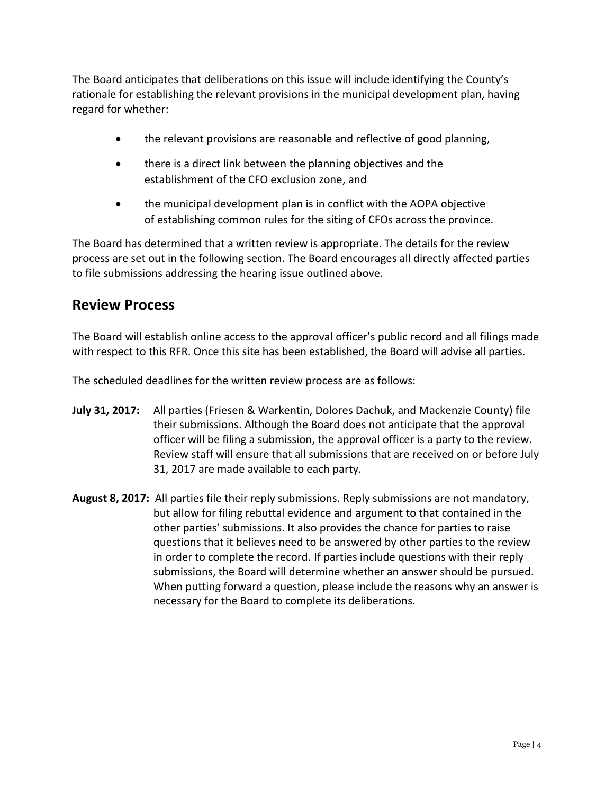The Board anticipates that deliberations on this issue will include identifying the County's rationale for establishing the relevant provisions in the municipal development plan, having regard for whether:

- the relevant provisions are reasonable and reflective of good planning,
- there is a direct link between the planning objectives and the establishment of the CFO exclusion zone, and
- the municipal development plan is in conflict with the AOPA objective of establishing common rules for the siting of CFOs across the province.

The Board has determined that a written review is appropriate. The details for the review process are set out in the following section. The Board encourages all directly affected parties to file submissions addressing the hearing issue outlined above.

## **Review Process**

The Board will establish online access to the approval officer's public record and all filings made with respect to this RFR. Once this site has been established, the Board will advise all parties.

The scheduled deadlines for the written review process are as follows:

- **July 31, 2017:** All parties (Friesen & Warkentin, Dolores Dachuk, and Mackenzie County) file their submissions. Although the Board does not anticipate that the approval officer will be filing a submission, the approval officer is a party to the review. Review staff will ensure that all submissions that are received on or before July 31, 2017 are made available to each party.
- **August 8, 2017:** All parties file their reply submissions. Reply submissions are not mandatory, but allow for filing rebuttal evidence and argument to that contained in the other parties' submissions. It also provides the chance for parties to raise questions that it believes need to be answered by other parties to the review in order to complete the record. If parties include questions with their reply submissions, the Board will determine whether an answer should be pursued. When putting forward a question, please include the reasons why an answer is necessary for the Board to complete its deliberations.